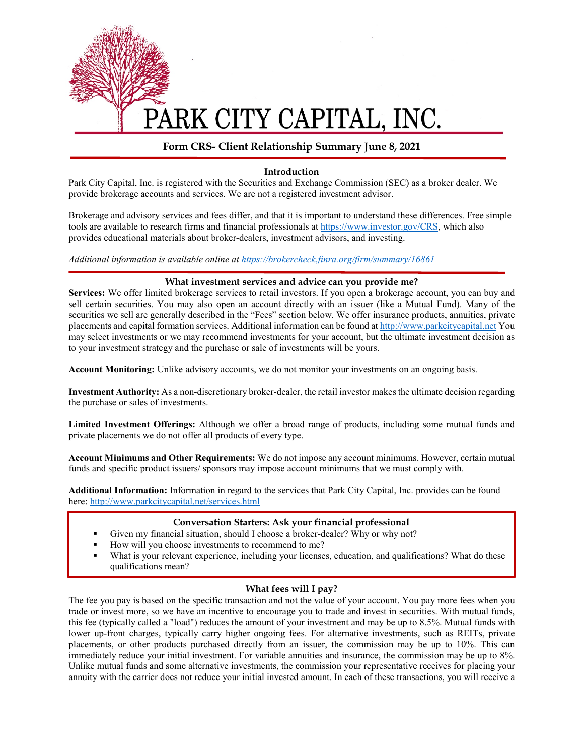

# PARK CITY CAPITAL, INC.

# **Form CRS- Client Relationship Summary June 8, 2021**

#### **Introduction**

Park City Capital, Inc. is registered with the Securities and Exchange Commission (SEC) as a broker dealer. We provide brokerage accounts and services. We are not a registered investment advisor.

Brokerage and advisory services and fees differ, and that it is important to understand these differences. Free simple tools are available to research firms and financial professionals at [https://www.investor.gov/CRS,](https://www.investor.gov/CRS) which also provides educational materials about broker-dealers, investment advisors, and investing.

*Additional information is available online at<https://brokercheck.finra.org/firm/summary/16861>*

#### **What investment services and advice can you provide me?**

**Services:** We offer limited brokerage services to retail investors. If you open a brokerage account, you can buy and sell certain securities. You may also open an account directly with an issuer (like a Mutual Fund). Many of the securities we sell are generally described in the "Fees" section below. We offer insurance products, annuities, private placements and capital formation services. Additional information can be found a[t http://www.parkcitycapital.net](http://www.parkcitycapital.net/) You may select investments or we may recommend investments for your account, but the ultimate investment decision as to your investment strategy and the purchase or sale of investments will be yours.

**Account Monitoring:** Unlike advisory accounts, we do not monitor your investments on an ongoing basis.

**Investment Authority:** As a non-discretionary broker-dealer, the retail investor makes the ultimate decision regarding the purchase or sales of investments.

**Limited Investment Offerings:** Although we offer a broad range of products, including some mutual funds and private placements we do not offer all products of every type.

**Account Minimums and Other Requirements:** We do not impose any account minimums. However, certain mutual funds and specific product issuers/ sponsors may impose account minimums that we must comply with.

**Additional Information:** Information in regard to the services that Park City Capital, Inc. provides can be found here: <http://www.parkcitycapital.net/services.html>

# **Conversation Starters: Ask your financial professional**

- Given my financial situation, should I choose a broker-dealer? Why or why not?
- How will you choose investments to recommend to me?
- What is your relevant experience, including your licenses, education, and qualifications? What do these qualifications mean?

# **What fees will I pay?**

The fee you pay is based on the specific transaction and not the value of your account. You pay more fees when you trade or invest more, so we have an incentive to encourage you to trade and invest in securities. With mutual funds, this fee (typically called a "load") reduces the amount of your investment and may be up to 8.5%. Mutual funds with lower up-front charges, typically carry higher ongoing fees. For alternative investments, such as REITs, private placements, or other products purchased directly from an issuer, the commission may be up to 10%. This can immediately reduce your initial investment. For variable annuities and insurance, the commission may be up to 8%. Unlike mutual funds and some alternative investments, the commission your representative receives for placing your annuity with the carrier does not reduce your initial invested amount. In each of these transactions, you will receive a